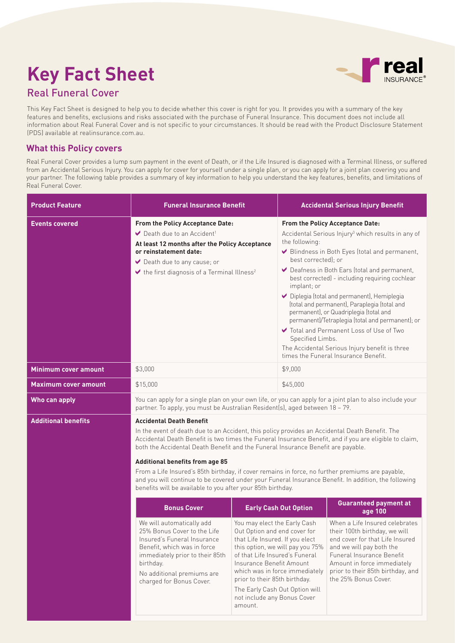# **Key Fact Sheet**



# Real Funeral Cover

This Key Fact Sheet is designed to help you to decide whether this cover is right for you. It provides you with a summary of the key features and benefits, exclusions and risks associated with the purchase of Funeral Insurance. This document does not include all information about Real Funeral Cover and is not specific to your circumstances. It should be read with the Product Disclosure Statement (PDS) available at realinsurance.com.au.

# **What this Policy covers**

Real Funeral Cover provides a lump sum payment in the event of Death, or if the Life Insured is diagnosed with a Terminal Illness, or suffered from an Accidental Serious Injury. You can apply for cover for yourself under a single plan, or you can apply for a joint plan covering you and your partner. The following table provides a summary of key information to help you understand the key features, benefits, and limitations of Real Funeral Cover.

| <b>Product Feature</b>      | <b>Funeral Insurance Benefit</b>                                                                                                                                                                                                                                                                                                                                                                                                                                                                                                                                                                                                                      |                                                                                                                                                                                                                                                                                                                                                  | <b>Accidental Serious Injury Benefit</b>                                                                                                                                                                                                                                                                                                                                                                                                                                                                                                                                                                                                                                     |                                                                                                                                                                                                                                                         |  |
|-----------------------------|-------------------------------------------------------------------------------------------------------------------------------------------------------------------------------------------------------------------------------------------------------------------------------------------------------------------------------------------------------------------------------------------------------------------------------------------------------------------------------------------------------------------------------------------------------------------------------------------------------------------------------------------------------|--------------------------------------------------------------------------------------------------------------------------------------------------------------------------------------------------------------------------------------------------------------------------------------------------------------------------------------------------|------------------------------------------------------------------------------------------------------------------------------------------------------------------------------------------------------------------------------------------------------------------------------------------------------------------------------------------------------------------------------------------------------------------------------------------------------------------------------------------------------------------------------------------------------------------------------------------------------------------------------------------------------------------------------|---------------------------------------------------------------------------------------------------------------------------------------------------------------------------------------------------------------------------------------------------------|--|
| <b>Events covered</b>       | <b>From the Policy Acceptance Date:</b><br>Death due to an Accident <sup>1</sup><br>At least 12 months after the Policy Acceptance<br>or reinstatement date:<br>► Death due to any cause; or<br>$\blacktriangleright$ the first diagnosis of a Terminal Illness <sup>2</sup>                                                                                                                                                                                                                                                                                                                                                                          |                                                                                                                                                                                                                                                                                                                                                  | <b>From the Policy Acceptance Date:</b><br>Accidental Serious Injury <sup>3</sup> which results in any of<br>the following:<br>Blindness in Both Eyes (total and permanent,<br>best corrected): or<br>◆ Deafness in Both Ears (total and permanent,<br>best corrected) - including requiring cochlear<br>implant; or<br>◆ Diplegia (total and permanent), Hemiplegia<br>(total and permanent), Paraplegia (total and<br>permanent), or Quadriplegia (total and<br>permanent)/Tetraplegia (total and permanent); or<br>✔ Total and Permanent Loss of Use of Two<br>Specified Limbs.<br>The Accidental Serious Injury benefit is three<br>times the Funeral Insurance Benefit. |                                                                                                                                                                                                                                                         |  |
| <b>Minimum cover amount</b> | \$3,000                                                                                                                                                                                                                                                                                                                                                                                                                                                                                                                                                                                                                                               |                                                                                                                                                                                                                                                                                                                                                  | \$9,000                                                                                                                                                                                                                                                                                                                                                                                                                                                                                                                                                                                                                                                                      |                                                                                                                                                                                                                                                         |  |
| <b>Maximum cover amount</b> | \$15,000                                                                                                                                                                                                                                                                                                                                                                                                                                                                                                                                                                                                                                              |                                                                                                                                                                                                                                                                                                                                                  | \$45,000                                                                                                                                                                                                                                                                                                                                                                                                                                                                                                                                                                                                                                                                     |                                                                                                                                                                                                                                                         |  |
| Who can apply               | You can apply for a single plan on your own life, or you can apply for a joint plan to also include your<br>partner. To apply, you must be Australian Resident(s), aged between 18 - 79.                                                                                                                                                                                                                                                                                                                                                                                                                                                              |                                                                                                                                                                                                                                                                                                                                                  |                                                                                                                                                                                                                                                                                                                                                                                                                                                                                                                                                                                                                                                                              |                                                                                                                                                                                                                                                         |  |
| <b>Additional benefits</b>  | <b>Accidental Death Benefit</b><br>In the event of death due to an Accident, this policy provides an Accidental Death Benefit. The<br>Accidental Death Benefit is two times the Funeral Insurance Benefit, and if you are eligible to claim,<br>both the Accidental Death Benefit and the Funeral Insurance Benefit are payable.<br><b>Additional benefits from age 85</b><br>From a Life Insured's 85th birthday, if cover remains in force, no further premiums are payable,<br>and you will continue to be covered under your Funeral Insurance Benefit. In addition, the following<br>benefits will be available to you after your 85th birthday. |                                                                                                                                                                                                                                                                                                                                                  |                                                                                                                                                                                                                                                                                                                                                                                                                                                                                                                                                                                                                                                                              |                                                                                                                                                                                                                                                         |  |
|                             | <b>Bonus Cover</b>                                                                                                                                                                                                                                                                                                                                                                                                                                                                                                                                                                                                                                    |                                                                                                                                                                                                                                                                                                                                                  | <b>Early Cash Out Option</b>                                                                                                                                                                                                                                                                                                                                                                                                                                                                                                                                                                                                                                                 | <b>Guaranteed payment at</b><br>age 100                                                                                                                                                                                                                 |  |
|                             | We will automatically add<br>25% Bonus Cover to the Life<br>Insured's Funeral Insurance<br>Benefit, which was in force<br>immediately prior to their 85th<br>birthday.<br>No additional premiums are<br>charged for Bonus Cover.                                                                                                                                                                                                                                                                                                                                                                                                                      | You may elect the Early Cash<br>Out Option and end cover for<br>that Life Insured. If you elect<br>this option, we will pay you 75%<br>of that Life Insured's Funeral<br>Insurance Benefit Amount<br>which was in force immediately<br>prior to their 85th birthday.<br>The Early Cash Out Option will<br>not include any Bonus Cover<br>amount. |                                                                                                                                                                                                                                                                                                                                                                                                                                                                                                                                                                                                                                                                              | When a Life Insured celebrates<br>their 100th birthday, we will<br>end cover for that Life Insured<br>and we will pay both the<br>Funeral Insurance Benefit<br>Amount in force immediately<br>prior to their 85th birthday, and<br>the 25% Bonus Cover. |  |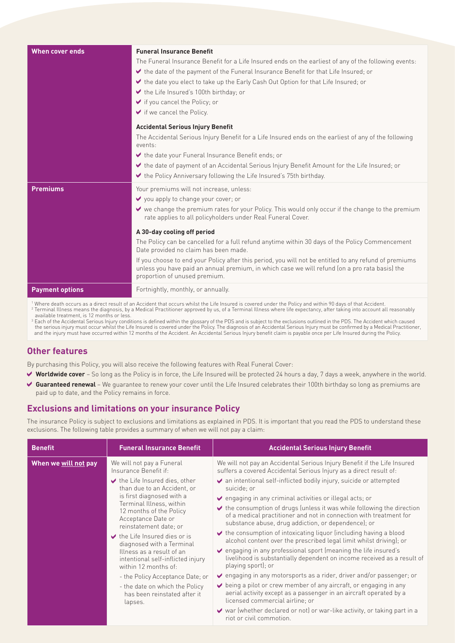| When cover ends        | <b>Funeral Insurance Benefit</b><br>The Funeral Insurance Benefit for a Life Insured ends on the earliest of any of the following events:<br>the date of the payment of the Funeral Insurance Benefit for that Life Insured; or<br>the date you elect to take up the Early Cash Out Option for that Life Insured; or<br>the Life Insured's 100th birthday; or<br>$\blacktriangleright$ if you cancel the Policy; or<br>$\blacktriangleright$ if we cancel the Policy. |  |  |
|------------------------|-----------------------------------------------------------------------------------------------------------------------------------------------------------------------------------------------------------------------------------------------------------------------------------------------------------------------------------------------------------------------------------------------------------------------------------------------------------------------|--|--|
|                        | <b>Accidental Serious Injury Benefit</b>                                                                                                                                                                                                                                                                                                                                                                                                                              |  |  |
|                        | The Accidental Serious Injury Benefit for a Life Insured ends on the earliest of any of the following<br>events:                                                                                                                                                                                                                                                                                                                                                      |  |  |
|                        | the date your Funeral Insurance Benefit ends; or                                                                                                                                                                                                                                                                                                                                                                                                                      |  |  |
|                        | the date of payment of an Accidental Serious Injury Benefit Amount for the Life Insured; or<br>the Policy Anniversary following the Life Insured's 75th birthday.                                                                                                                                                                                                                                                                                                     |  |  |
| <b>Premiums</b>        | Your premiums will not increase, unless:<br>V you apply to change your cover; or<br>↓ we change the premium rates for your Policy. This would only occur if the change to the premium<br>rate applies to all policyholders under Real Funeral Cover.                                                                                                                                                                                                                  |  |  |
|                        | A 30-day cooling off period<br>The Policy can be cancelled for a full refund anytime within 30 days of the Policy Commencement                                                                                                                                                                                                                                                                                                                                        |  |  |
|                        | Date provided no claim has been made.                                                                                                                                                                                                                                                                                                                                                                                                                                 |  |  |
|                        | If you choose to end your Policy after this period, you will not be entitled to any refund of premiums<br>unless you have paid an annual premium, in which case we will refund (on a pro rata basis) the<br>proportion of unused premium.                                                                                                                                                                                                                             |  |  |
| <b>Payment options</b> | Fortnightly, monthly, or annually.                                                                                                                                                                                                                                                                                                                                                                                                                                    |  |  |
|                        |                                                                                                                                                                                                                                                                                                                                                                                                                                                                       |  |  |

' Where death occurs as a direct result of an Accident that occurs whilst the Life Insured is covered under the Policy and within 90 days of that Accident.<br><sup>2</sup> Terminal Illness means the diagnosis, by a Medical Practitione

Each of the Accidental Serious Injury conditions is defined within the glossary of the PDS and is subject to the exclusions outlined in the PDS. The Accident which caused the serious injury must occur whilst the Life Insur

## **Other features**

By purchasing this Policy, you will also receive the following features with Real Funeral Cover:

- **Worldwide cover** So long as the Policy is in force, the Life Insured will be protected 24 hours a day, 7 days a week, anywhere in the world.
- ◆ Guaranteed renewal We quarantee to renew your cover until the Life Insured celebrates their 100th birthday so long as premiums are paid up to date, and the Policy remains in force.

## **Exclusions and limitations on your insurance Policy**

The insurance Policy is subject to exclusions and limitations as explained in PDS. It is important that you read the PDS to understand these exclusions. The following table provides a summary of when we will not pay a claim:

| <b>Benefit</b>       | <b>Funeral Insurance Benefit</b>                                                                                                                                                                                                                                                                                                                                                                                                                                                                                                                                         | <b>Accidental Serious Injury Benefit</b>                                                                                                                                                                                                                                                                                                                                                                                                                                                                                                                                                                                                                                                                                                                                                                                                                                                                                                                                                                                                                                                                                                                                                                                           |
|----------------------|--------------------------------------------------------------------------------------------------------------------------------------------------------------------------------------------------------------------------------------------------------------------------------------------------------------------------------------------------------------------------------------------------------------------------------------------------------------------------------------------------------------------------------------------------------------------------|------------------------------------------------------------------------------------------------------------------------------------------------------------------------------------------------------------------------------------------------------------------------------------------------------------------------------------------------------------------------------------------------------------------------------------------------------------------------------------------------------------------------------------------------------------------------------------------------------------------------------------------------------------------------------------------------------------------------------------------------------------------------------------------------------------------------------------------------------------------------------------------------------------------------------------------------------------------------------------------------------------------------------------------------------------------------------------------------------------------------------------------------------------------------------------------------------------------------------------|
| When we will not pay | We will not pay a Funeral<br>Insurance Benefit if:<br>$\blacktriangleright$ the Life Insured dies, other<br>than due to an Accident, or<br>is first diagnosed with a<br>Terminal Illness, within<br>12 months of the Policy<br>Acceptance Date or<br>reinstatement date; or<br>$\blacktriangleright$ the Life Insured dies or is<br>diagnosed with a Terminal<br>Illness as a result of an<br>intentional self-inflicted injury<br>within 12 months of:<br>- the Policy Acceptance Date; or<br>- the date on which the Policy<br>has been reinstated after it<br>lapses. | We will not pay an Accidental Serious Injury Benefit if the Life Insured<br>suffers a covered Accidental Serious Injury as a direct result of:<br>an intentional self-inflicted bodily injury, suicide or attempted<br>suicide; or<br>$\vee$ engaging in any criminal activities or illegal acts; or<br>$\blacktriangleright$ the consumption of drugs (unless it was while following the direction<br>of a medical practitioner and not in connection with treatment for<br>substance abuse, drug addiction, or dependence); or<br>$\vee$ the consumption of intoxicating liguor (including having a blood<br>alcohol content over the prescribed legal limit whilst driving); or<br>↓ engaging in any professional sport (meaning the life insured's<br>livelihood is substantially dependent on income received as a result of<br>playing sport); or<br>$\vee$ engaging in any motorsports as a rider, driver and/or passenger; or<br>$\vee$ being a pilot or crew member of any aircraft, or engaging in any<br>aerial activity except as a passenger in an aircraft operated by a<br>licensed commercial airline; or<br>↓ war (whether declared or not) or war-like activity, or taking part in a<br>riot or civil commotion. |